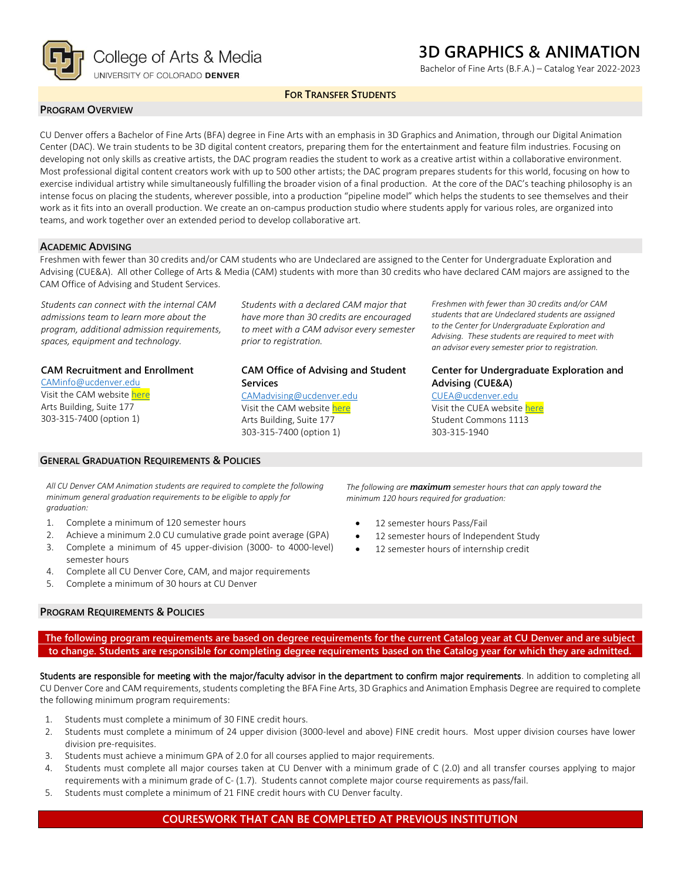

## **3D GRAPHICS & ANIMATION**

Bachelor of Fine Arts (B.F.A.) – Catalog Year 2022-2023

#### **FOR TRANSFER STUDENTS**

#### **PROGRAM OVERVIEW**

CU Denver offers a Bachelor of Fine Arts (BFA) degree in Fine Arts with an emphasis in 3D Graphics and Animation, through our Digital Animation Center (DAC). We train students to be 3D digital content creators, preparing them for the entertainment and feature film industries. Focusing on developing not only skills as creative artists, the DAC program readies the student to work as a creative artist within a collaborative environment. Most professional digital content creators work with up to 500 other artists; the DAC program prepares students for this world, focusing on how to exercise individual artistry while simultaneously fulfilling the broader vision of a final production. At the core of the DAC's teaching philosophy is an intense focus on placing the students, wherever possible, into a production "pipeline model" which helps the students to see themselves and their work as it fits into an overall production. We create an on-campus production studio where students apply for various roles, are organized into teams, and work together over an extended period to develop collaborative art.

#### **ACADEMIC ADVISING**

Freshmen with fewer than 30 credits and/or CAM students who are Undeclared are assigned to the Center for Undergraduate Exploration and Advising (CUE&A). All other College of Arts & Media (CAM) students with more than 30 credits who have declared CAM majors are assigned to the CAM Office of Advising and Student Services.

*Students can connect with the internal CAM admissions team to learn more about the program, additional admission requirements, spaces, equipment and technology.*

#### **CAM Recruitment and Enrollment**

[CAMinfo@ucdenver.edu](mailto:CAMinfo@ucdenver.edu) Visit the CAM websit[e here](https://artsandmedia.ucdenver.edu/prospective-students/prospective-students) Arts Building, Suite 177 303-315-7400 (option 1)

#### **GENERAL GRADUATION REQUIREMENTS & POLICIES**

*Students with a declared CAM major that have more than 30 credits are encouraged to meet with a CAM advisor every semester prior to registration.*

#### **CAM Office of Advising and Student Services**

[CAMadvising@ucdenver.edu](mailto:CAMadvising@ucdenver.edu) Visit the CAM websit[e here](https://artsandmedia.ucdenver.edu/current-students/about-academic-advising) Arts Building, Suite 177 303-315-7400 (option 1)

*Freshmen with fewer than 30 credits and/or CAM students that are Undeclared students are assigned to the Center for Undergraduate Exploration and Advising. These students are required to meet with an advisor every semester prior to registration.*

#### **Center for Undergraduate Exploration and Advising (CUE&A)**

[CUEA@ucdenver.edu](mailto:CUEA@ucdenver.edu) Visit the CUEA websit[e here](https://www.ucdenver.edu/center-for-undergraduate-exploration-and-advising) Student Commons 1113 303-315-1940

*All CU Denver CAM Animation students are required to complete the following minimum general graduation requirements to be eligible to apply for graduation:*

- 1. Complete a minimum of 120 semester hours
- 2. Achieve a minimum 2.0 CU cumulative grade point average (GPA)
- 3. Complete a minimum of 45 upper-division (3000- to 4000-level) semester hours
- 4. Complete all CU Denver Core, CAM, and major requirements
- 5. Complete a minimum of 30 hours at CU Denver

#### **PROGRAM REQUIREMENTS & POLICIES**

*The following are maximum semester hours that can apply toward the minimum 120 hours required for graduation:*

- 12 semester hours Pass/Fail
- 12 semester hours of Independent Study
- 12 semester hours of internship credit

**The following program requirements are based on degree requirements for the current Catalog year at CU Denver and are subject to change. Students are responsible for completing degree requirements based on the Catalog year for which they are admitted.**

Students are responsible for meeting with the major/faculty advisor in the department to confirm major requirements. In addition to completing all CU Denver Core and CAM requirements, students completing the BFA Fine Arts, 3D Graphics and Animation Emphasis Degree are required to complete the following minimum program requirements:

- 1. Students must complete a minimum of 30 FINE credit hours.
- 2. Students must complete a minimum of 24 upper division (3000-level and above) FINE credit hours. Most upper division courses have lower division pre-requisites.
- 3. Students must achieve a minimum GPA of 2.0 for all courses applied to major requirements.
- 4. Students must complete all major courses taken at CU Denver with a minimum grade of C (2.0) and all transfer courses applying to major requirements with a minimum grade of C- (1.7). Students cannot complete major course requirements as pass/fail.
- 5. Students must complete a minimum of 21 FINE credit hours with CU Denver faculty.

#### **COURESWORK THAT CAN BE COMPLETED AT PREVIOUS INSTITUTION**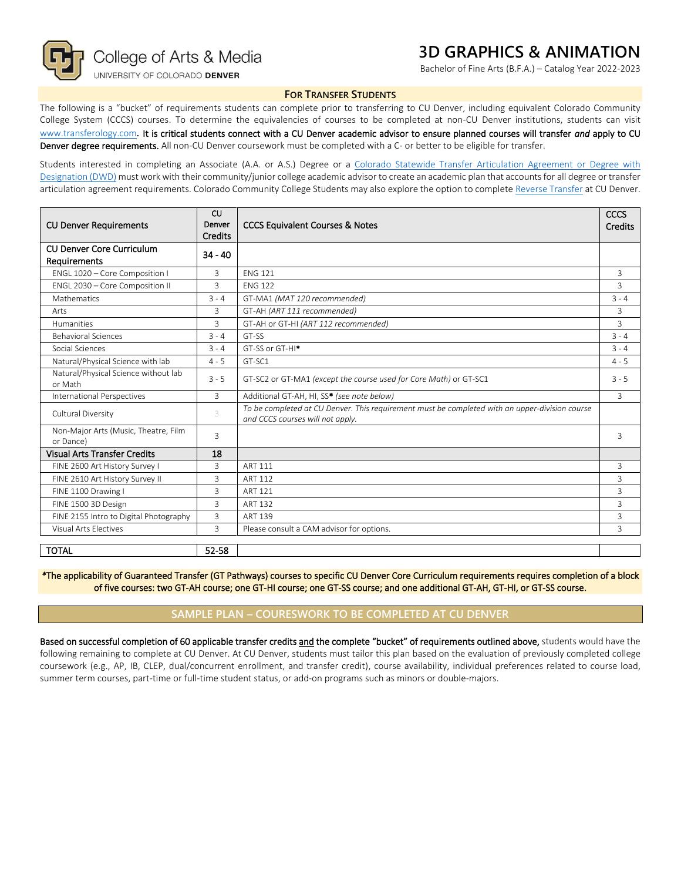

## **3D GRAPHICS & ANIMATION**

Bachelor of Fine Arts (B.F.A.) – Catalog Year 2022-2023

#### **FOR TRANSFER STUDENTS**

The following is a "bucket" of requirements students can complete prior to transferring to CU Denver, including equivalent Colorado Community College System (CCCS) courses. To determine the equivalencies of courses to be completed at non-CU Denver institutions, students can visit [www.transferology.com](http://www.transferology.com/)**.** It is critical students connect with a CU Denver academic advisor to ensure planned courses will transfer *and* apply to CU Denver degree requirements. All non-CU Denver coursework must be completed with a C- or better to be eligible for transfer.

Students interested in completing an Associate (A.A. or A.S.) Degree or a Colorado Statewide Transfer Articulation Agreement or Degree with [Designation \(DWD\)](https://highered.colorado.gov/Academics/Transfers/TransferDegrees.html) must work with their community/junior college academic advisor to create an academic plan that accounts for all degree or transfer articulation agreement requirements. Colorado Community College Students may also explore the option to complet[e Reverse Transfer](https://degreewithinreach.wordpress.com/) at CU Denver.

| <b>CU Denver Requirements</b>                                        | CU<br>Denver<br><b>Credits</b> | <b>CCCS Equivalent Courses &amp; Notes</b>                                                                                         |         |
|----------------------------------------------------------------------|--------------------------------|------------------------------------------------------------------------------------------------------------------------------------|---------|
| <b>CU Denver Core Curriculum</b><br>$34 - 40$<br><b>Requirements</b> |                                |                                                                                                                                    |         |
| ENGL 1020 - Core Composition I                                       | 3                              | <b>FNG 121</b>                                                                                                                     |         |
| ENGL 2030 - Core Composition II                                      | 3                              | <b>FNG 122</b>                                                                                                                     |         |
| Mathematics                                                          | $3 - 4$                        | GT-MA1 (MAT 120 recommended)                                                                                                       |         |
| Arts                                                                 | 3                              | GT-AH (ART 111 recommended)                                                                                                        |         |
| <b>Humanities</b>                                                    | 3                              | GT-AH or GT-HI (ART 112 recommended)                                                                                               |         |
| <b>Behavioral Sciences</b>                                           | $3 - 4$                        | GT-SS                                                                                                                              | $3 - 4$ |
| Social Sciences                                                      | $3 - 4$                        | GT-SS or GT-HI <sup>*</sup>                                                                                                        | $3 - 4$ |
| Natural/Physical Science with lab                                    | $4 - 5$                        | GT-SC1                                                                                                                             | $4 - 5$ |
| Natural/Physical Science without lab<br>or Math                      | $3 - 5$                        | GT-SC2 or GT-MA1 (except the course used for Core Math) or GT-SC1                                                                  | $3 - 5$ |
| International Perspectives                                           | 3                              | Additional GT-AH, HI, SS* (see note below)                                                                                         |         |
| Cultural Diversity                                                   | 3                              | To be completed at CU Denver. This requirement must be completed with an upper-division course<br>and CCCS courses will not apply. |         |
| Non-Major Arts (Music, Theatre, Film<br>or Dance)                    | 3                              |                                                                                                                                    | 3       |
| <b>Visual Arts Transfer Credits</b><br>18                            |                                |                                                                                                                                    |         |
| FINE 2600 Art History Survey I                                       | 3                              | <b>ART 111</b>                                                                                                                     | 3       |
| FINE 2610 Art History Survey II                                      | 3                              | <b>ART 112</b>                                                                                                                     | 3       |
| FINE 1100 Drawing I                                                  | 3                              | ART 121                                                                                                                            |         |
| FINE 1500 3D Design                                                  | 3                              | ART 132                                                                                                                            |         |
| FINE 2155 Intro to Digital Photography                               | 3                              | ART 139                                                                                                                            |         |
| Visual Arts Electives                                                | 3                              | Please consult a CAM advisor for options.                                                                                          |         |
| <b>TOTAL</b>                                                         | 52-58                          |                                                                                                                                    |         |

*\**The applicability of Guaranteed Transfer (GT Pathways) courses to specific CU Denver Core Curriculum requirements requires completion of a block of five courses: two GT-AH course; one GT-HI course; one GT-SS course; and one additional GT-AH, GT-HI, or GT-SS course.

#### **SAMPLE PLAN – COURESWORK TO BE COMPLETED AT CU DENVER**

Based on successful completion of 60 applicable transfer credits and the complete "bucket" of requirements outlined above, students would have the following remaining to complete at CU Denver. At CU Denver, students must tailor this plan based on the evaluation of previously completed college coursework (e.g., AP, IB, CLEP, dual/concurrent enrollment, and transfer credit), course availability, individual preferences related to course load, summer term courses, part-time or full-time student status, or add-on programs such as minors or double-majors.